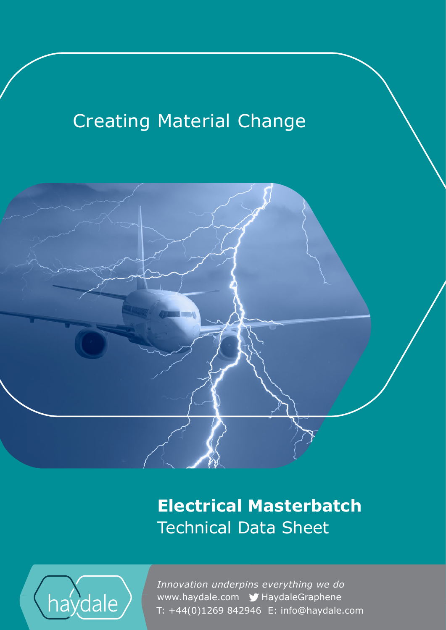# **Creating Material Change**



**Electrical Masterbatch** Technical Data Sheet



www.haydale.com y HaydaleGraphene *Innovation underpins everything we do*  T: +44(0)1269 842946 E: info@haydale.com